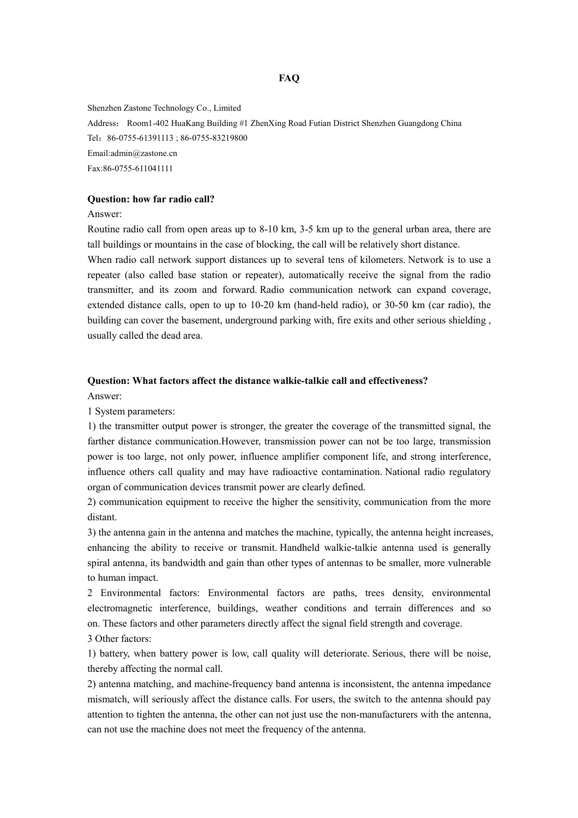Shenzhen Zastone Technology Co., Limited Address: Room1-402 HuaKang Building #1 ZhenXing Road Futian District Shenzhen Guangdong China Tel:86-0755-61391113 ; 86-0755-83219800 Email:admin@zastone.cn Fax:86-0755-611041111

#### **Question: how far radio call?**

Answer:

Routine radio call from open areas up to 8-10 km, 3-5 km up to the general urban area, there are tall buildings or mountains in the case of blocking, the call will be relatively short distance. When radio call network support distances up to several tens of kilometers. Network is to use a

repeater (also called base station or repeater), automatically receive the signal from the radio transmitter, and its zoom and forward. Radio communication network can expand coverage, extended distance calls, open to up to 10-20 km (hand-held radio), or 30-50 km (car radio), the building can cover the basement, underground parking with, fire exits and other serious shielding , usually called the dead area.

## **Question: What factors affect the distance walkie-talkie call and effectiveness?**

Answer:

1 System parameters:

1) the transmitter output power is stronger, the greater the coverage of the transmitted signal, the farther distance communication.However, transmission power can not be too large, transmission power is too large, not only power, influence amplifier component life, and strong interference, influence others call quality and may have radioactive contamination. National radio regulatory organ of communication devices transmit power are clearly defined.

2) communication equipment to receive the higher the sensitivity, communication from the more distant.

3) the antenna gain in the antenna and matches the machine, typically, the antenna height increases, enhancing the ability to receive or transmit. Handheld walkie-talkie antenna used is generally spiral antenna, its bandwidth and gain than other types of antennas to be smaller, more vulnerable to human impact.

2 Environmental factors: Environmental factors are paths, trees density, environmental electromagnetic interference, buildings, weather conditions and terrain differences and so on. These factors and other parameters directly affect the signal field strength and coverage.

3 Other factors:

1) battery, when battery power is low, call quality will deteriorate. Serious, there will be noise, thereby affecting the normal call.

2) antenna matching, and machine-frequency band antenna is inconsistent, the antenna impedance mismatch, will seriously affect the distance calls. For users, the switch to the antenna should pay attention to tighten the antenna, the other can not just use the non-manufacturers with the antenna, can not use the machine does not meet the frequency of the antenna.

#### **FAQ**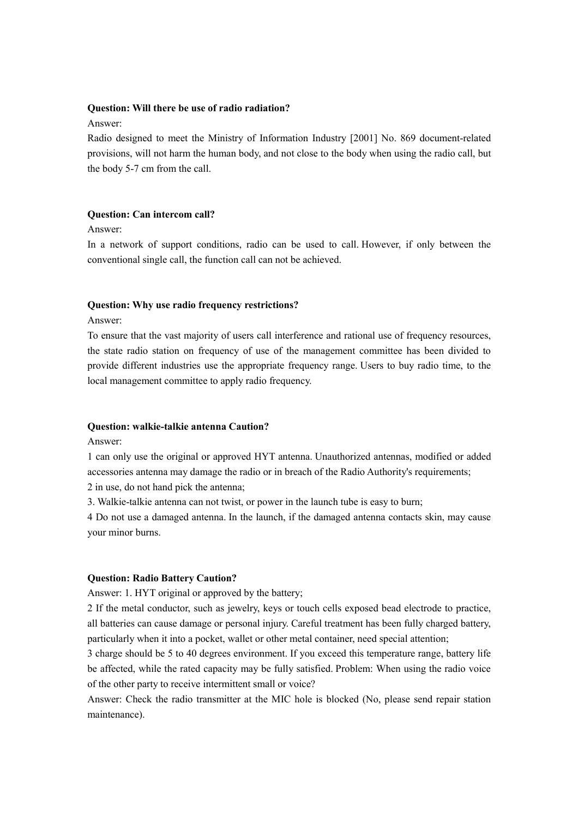#### **Question: Will there be use of radio radiation?**

## Answer:

Radio designed to meet the Ministry of Information Industry [2001] No. 869 document-related provisions, will not harm the human body, and not close to the body when using the radio call, but the body 5-7 cm from the call.

# **Question: Can intercom call?**

## Answer:

In a network of support conditions, radio can be used to call. However, if only between the conventional single call, the function call can not be achieved.

## **Question: Why use radio frequency restrictions?**

#### Answer:

To ensure that the vast majority of users call interference and rational use of frequency resources, the state radio station on frequency of use of the management committee has been divided to provide different industries use the appropriate frequency range. Users to buy radio time, to the local management committee to apply radio frequency.

## **Question: walkie-talkie antenna Caution?**

Answer:

1 can only use the original or approved HYT antenna. Unauthorized antennas, modified or added accessories antenna may damage the radio or in breach of the Radio Authority's requirements;

2 in use, do not hand pick the antenna;

3. Walkie-talkie antenna can not twist, or power in the launch tube is easy to burn;

4 Do not use a damaged antenna. In the launch, if the damaged antenna contacts skin, may cause your minor burns.

## **Question: Radio Battery Caution?**

Answer: 1. HYT original or approved by the battery;

2 If the metal conductor, such as jewelry, keys or touch cells exposed bead electrode to practice, all batteries can cause damage or personal injury. Careful treatment has been fully charged battery, particularly when it into a pocket, wallet or other metal container, need special attention;

3 charge should be 5 to 40 degrees environment. If you exceed this temperature range, battery life be affected, while the rated capacity may be fully satisfied. Problem: When using the radio voice of the other party to receive intermittent small or voice?

Answer: Check the radio transmitter at the MIC hole is blocked (No, please send repair station maintenance).